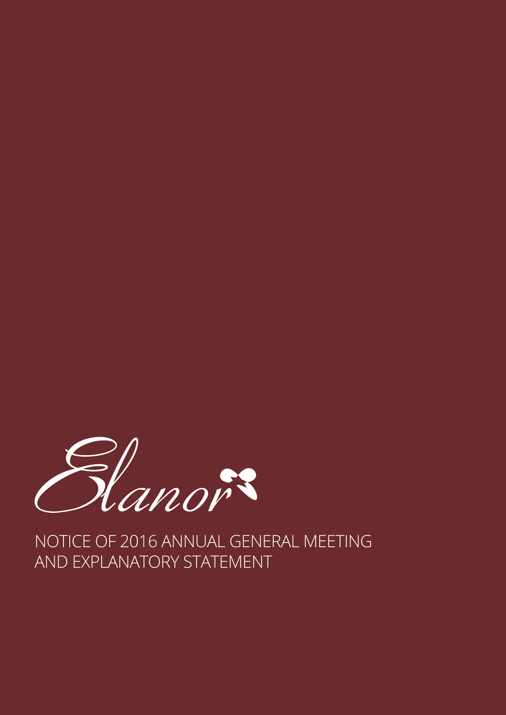

NOTICE OF 2016 ANNUAL GENERAL MEETING AND EXPLANATORY STATEMENT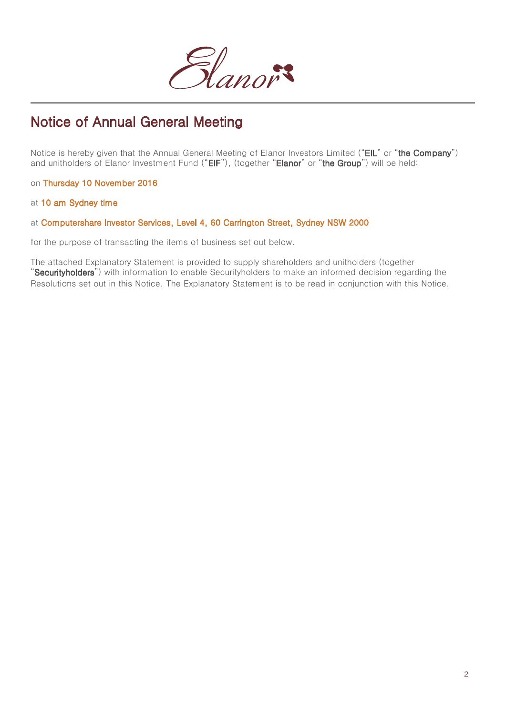

# Notice of Annual General Meeting

Notice is hereby given that the Annual General Meeting of Elanor Investors Limited ("EIL" or "the Company") and unitholders of Elanor Investment Fund ("EIF"), (together "Elanor" or "the Group") will be held:

on Thursday 10 November 2016

at 10 am Sydney time

## at Computershare Investor Services, Level 4, 60 Carrington Street, Sydney NSW 2000

for the purpose of transacting the items of business set out below.

The attached Explanatory Statement is provided to supply shareholders and unitholders (together "Securityholders") with information to enable Securityholders to make an informed decision regarding the Resolutions set out in this Notice. The Explanatory Statement is to be read in conjunction with this Notice.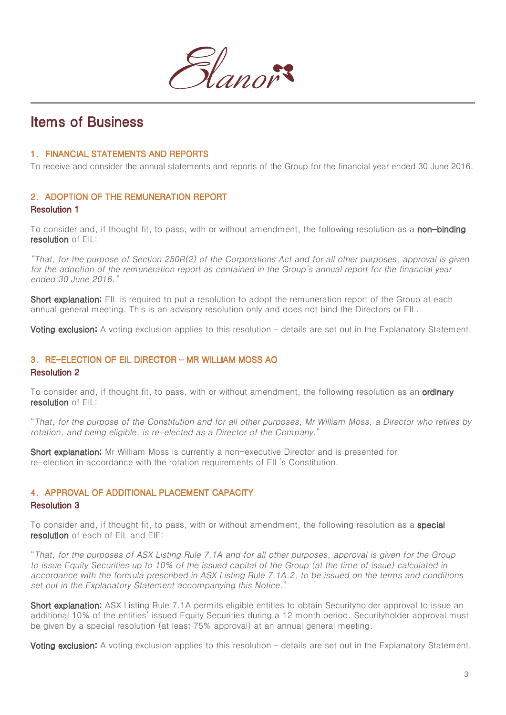

## Items of Business

## 1. FINANCIAL STATEMENTS AND REPORTS

To receive and consider the annual statements and reports of the Group for the financial year ended 30 June 2016.

## 2. ADOPTION OF THE REMUNERATION REPORT Resolution 1

To consider and, if thought fit, to pass, with or without amendment, the following resolution as a non-binding resolution of FIL:

"That, for the purpose of Section 250R(2) of the Corporations Act and for all other purposes, approval is given for the adoption of the remuneration report as contained in the Group's annual report for the financial year ended 30 June 2016."

**Short explanation:** EIL is required to put a resolution to adopt the remuneration report of the Group at each annual general meeting. This is an advisory resolution only and does not bind the Directors or EIL.

Voting exclusion: A voting exclusion applies to this resolution - details are set out in the Explanatory Statement.

## 3. RE-ELECTION OF EIL DIRECTOR – MR WILLIAM MOSS AO

#### Resolution 2

To consider and, if thought fit, to pass, with or without amendment, the following resolution as an **ordinary** resolution of EIL:

"That, for the purpose of the Constitution and for all other purposes, Mr William Moss, a Director who retires by rotation, and being eligible, is re-elected as a Director of the Company."

Short explanation: Mr William Moss is currently a non-executive Director and is presented for re-election in accordance with the rotation requirements of EIL's Constitution.

## 4. APPROVAL OF ADDITIONAL PLACEMENT CAPACITY

#### Resolution 3

To consider and, if thought fit, to pass, with or without amendment, the following resolution as a **special** resolution of each of EIL and EIF:

"That, for the purposes of ASX Listing Rule 7.1A and for all other purposes, approval is given for the Group to issue Equity Securities up to 10% of the issued capital of the Group (at the time of issue) calculated in accordance with the formula prescribed in ASX Listing Rule 7.1A.2, to be issued on the terms and conditions set out in the Explanatory Statement accompanying this Notice.'

**Short explanation:** ASX Listing Rule 7.1A permits eligible entities to obtain Securityholder approval to issue an additional 10% of the entities' issued Equity Securities during a 12 month period. Securityholder approval must be given by a special resolution (at least 75% approval) at an annual general meeting.

Voting exclusion: A voting exclusion applies to this resolution – details are set out in the Explanatory Statement.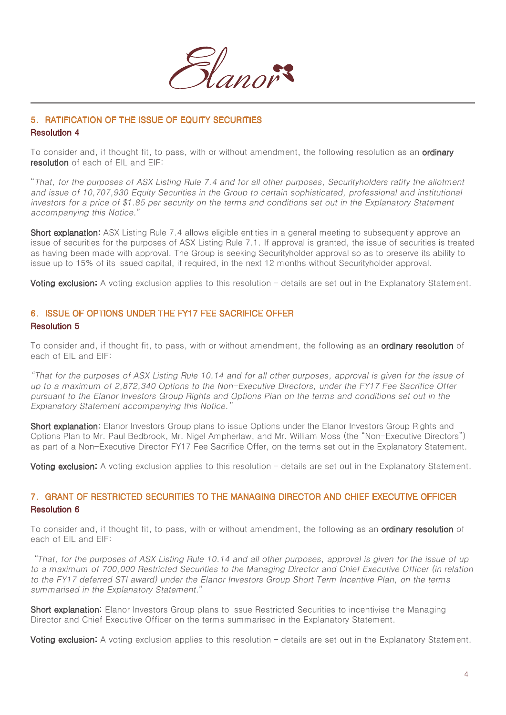

## 5. RATIFICATION OF THE ISSUE OF EQUITY SECURITIES Resolution 4

To consider and, if thought fit, to pass, with or without amendment, the following resolution as an **ordinary** resolution of each of EIL and EIF:

"That, for the purposes of ASX Listing Rule 7.4 and for all other purposes, Securityholders ratify the allotment and issue of 10,707,930 Equity Securities in the Group to certain sophisticated, professional and institutional investors for a price of \$1.85 per security on the terms and conditions set out in the Explanatory Statement accompanying this Notice."

**Short explanation:** ASX Listing Rule 7.4 allows eligible entities in a general meeting to subsequently approve an issue of securities for the purposes of ASX Listing Rule 7.1. If approval is granted, the issue of securities is treated as having been made with approval. The Group is seeking Securityholder approval so as to preserve its ability to issue up to 15% of its issued capital, if required, in the next 12 months without Securityholder approval.

Voting exclusion: A voting exclusion applies to this resolution – details are set out in the Explanatory Statement.

## 6. ISSUE OF OPTIONS UNDER THE FY17 FEE SACRIFICE OFFER Resolution 5

To consider and, if thought fit, to pass, with or without amendment, the following as an **ordinary resolution** of each of EIL and EIF:

"That for the purposes of ASX Listing Rule 10.14 and for all other purposes, approval is given for the issue of up to a maximum of 2,872,340 Options to the Non-Executive Directors, under the FY17 Fee Sacrifice Offer pursuant to the Elanor Investors Group Rights and Options Plan on the terms and conditions set out in the Explanatory Statement accompanying this Notice."

**Short explanation:** Elanor Investors Group plans to issue Options under the Elanor Investors Group Rights and Options Plan to Mr. Paul Bedbrook, Mr. Nigel Ampherlaw, and Mr. William Moss (the "Non-Executive Directors") as part of a Non-Executive Director FY17 Fee Sacrifice Offer, on the terms set out in the Explanatory Statement.

Voting exclusion: A voting exclusion applies to this resolution – details are set out in the Explanatory Statement.

## 7. GRANT OF RESTRICTED SECURITIES TO THE MANAGING DIRECTOR AND CHIEF EXECUTIVE OFFICER Resolution 6

To consider and, if thought fit, to pass, with or without amendment, the following as an **ordinary resolution** of each of EIL and EIF:

"That, for the purposes of ASX Listing Rule 10.14 and all other purposes, approval is given for the issue of up to a maximum of 700,000 Restricted Securities to the Managing Director and Chief Executive Officer (in relation to the FY17 deferred STI award) under the Elanor Investors Group Short Term Incentive Plan, on the terms summarised in the Explanatory Statement."

Short explanation: Elanor Investors Group plans to issue Restricted Securities to incentivise the Managing Director and Chief Executive Officer on the terms summarised in the Explanatory Statement.

Voting exclusion: A voting exclusion applies to this resolution – details are set out in the Explanatory Statement.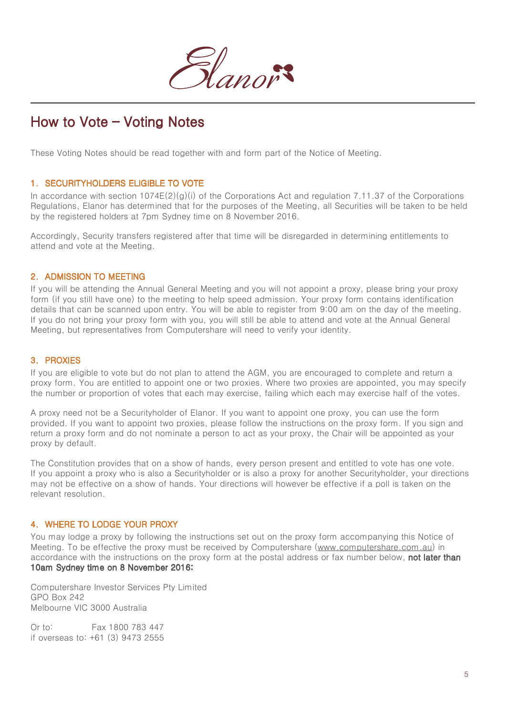

# How to Vote – Voting Notes

These Voting Notes should be read together with and form part of the Notice of Meeting.

## 1. SECURITYHOLDERS ELIGIBLE TO VOTE

In accordance with section  $1074E(2)(g)(i)$  of the Corporations Act and regulation 7.11.37 of the Corporations Regulations, Elanor has determined that for the purposes of the Meeting, all Securities will be taken to be held by the registered holders at 7pm Sydney time on 8 November 2016.

Accordingly, Security transfers registered after that time will be disregarded in determining entitlements to attend and vote at the Meeting.

#### 2. ADMISSION TO MEETING

If you will be attending the Annual General Meeting and you will not appoint a proxy, please bring your proxy form (if you still have one) to the meeting to help speed admission. Your proxy form contains identification details that can be scanned upon entry. You will be able to register from 9:00 am on the day of the meeting. If you do not bring your proxy form with you, you will still be able to attend and vote at the Annual General Meeting, but representatives from Computershare will need to verify your identity.

#### 3. PROXIES

If you are eligible to vote but do not plan to attend the AGM, you are encouraged to complete and return a proxy form. You are entitled to appoint one or two proxies. Where two proxies are appointed, you may specify the number or proportion of votes that each may exercise, failing which each may exercise half of the votes.

A proxy need not be a Securityholder of Elanor. If you want to appoint one proxy, you can use the form provided. If you want to appoint two proxies, please follow the instructions on the proxy form. If you sign and return a proxy form and do not nominate a person to act as your proxy, the Chair will be appointed as your proxy by default.

The Constitution provides that on a show of hands, every person present and entitled to vote has one vote. If you appoint a proxy who is also a Securityholder or is also a proxy for another Securityholder, your directions may not be effective on a show of hands. Your directions will however be effective if a poll is taken on the relevant resolution.

#### 4. WHERE TO LODGE YOUR PROXY

You may lodge a proxy by following the instructions set out on the proxy form accompanying this Notice of Meeting. To be effective the proxy must be received by Computershare (www.computershare.com.au) in accordance with the instructions on the proxy form at the postal address or fax number below, not later than 10am Sydney time on 8 November 2016:

Computershare Investor Services Pty Limited GPO Box 242 Melbourne VIC 3000 Australia

Or to: Fax 1800 783 447 if overseas to: +61 (3) 9473 2555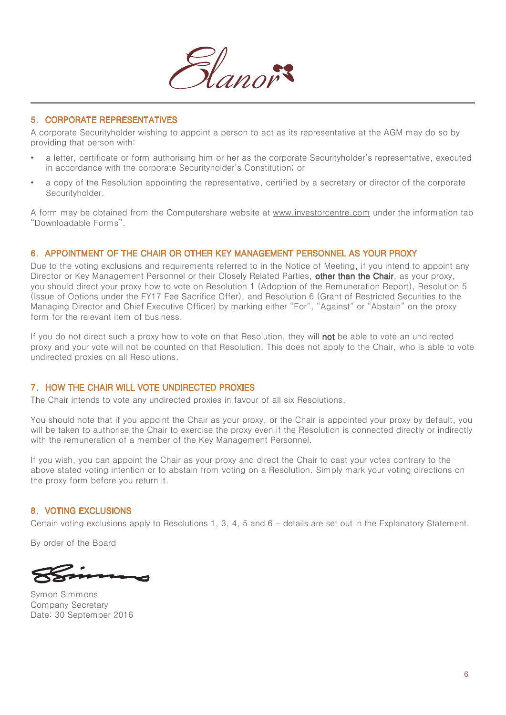

## 5. CORPORATE REPRESENTATIVES

A corporate Securityholder wishing to appoint a person to act as its representative at the AGM may do so by providing that person with:

- a letter, certificate or form authorising him or her as the corporate Securityholder's representative, executed in accordance with the corporate Securityholder's Constitution; or
- a copy of the Resolution appointing the representative, certified by a secretary or director of the corporate Securityholder.

A form may be obtained from the Computershare website at www.investorcentre.com under the information tab "Downloadable Forms".

### 6. APPOINTMENT OF THE CHAIR OR OTHER KEY MANAGEMENT PERSONNEL AS YOUR PROXY

Due to the voting exclusions and requirements referred to in the Notice of Meeting, if you intend to appoint any Director or Key Management Personnel or their Closely Related Parties, other than the Chair, as your proxy, you should direct your proxy how to vote on Resolution 1 (Adoption of the Remuneration Report), Resolution 5 (Issue of Options under the FY17 Fee Sacrifice Offer), and Resolution 6 (Grant of Restricted Securities to the Managing Director and Chief Executive Officer) by marking either "For", "Against" or "Abstain" on the proxy form for the relevant item of business.

If you do not direct such a proxy how to vote on that Resolution, they will not be able to vote an undirected proxy and your vote will not be counted on that Resolution. This does not apply to the Chair, who is able to vote undirected proxies on all Resolutions.

#### 7. HOW THE CHAIR WILL VOTE UNDIRECTED PROXIES

The Chair intends to vote any undirected proxies in favour of all six Resolutions.

You should note that if you appoint the Chair as your proxy, or the Chair is appointed your proxy by default, you will be taken to authorise the Chair to exercise the proxy even if the Resolution is connected directly or indirectly with the remuneration of a member of the Key Management Personnel.

If you wish, you can appoint the Chair as your proxy and direct the Chair to cast your votes contrary to the above stated voting intention or to abstain from voting on a Resolution. Simply mark your voting directions on the proxy form before you return it.

#### 8. VOTING EXCLUSIONS

Certain voting exclusions apply to Resolutions 1, 3, 4, 5 and 6 - details are set out in the Explanatory Statement.

By order of the Board

Symon Simmons Company Secretary Date: 30 September 2016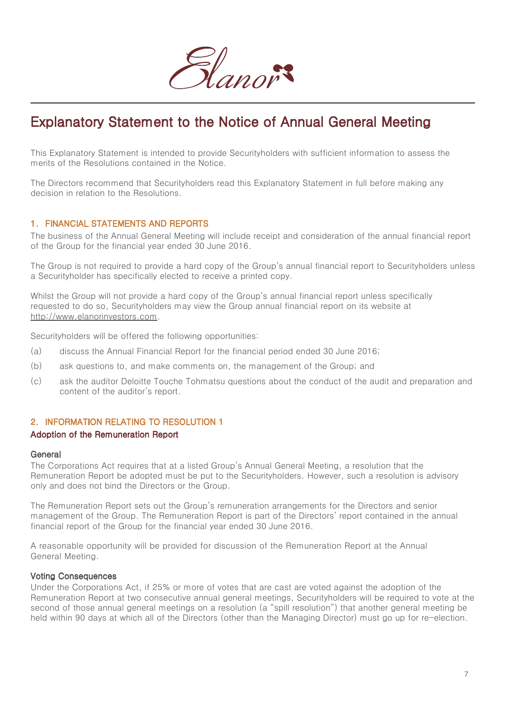

# Explanatory Statement to the Notice of Annual General Meeting

This Explanatory Statement is intended to provide Securityholders with sufficient information to assess the merits of the Resolutions contained in the Notice.

The Directors recommend that Securityholders read this Explanatory Statement in full before making any decision in relation to the Resolutions.

### 1. FINANCIAL STATEMENTS AND REPORTS

The business of the Annual General Meeting will include receipt and consideration of the annual financial report of the Group for the financial year ended 30 June 2016.

The Group is not required to provide a hard copy of the Group's annual financial report to Securityholders unless a Securityholder has specifically elected to receive a printed copy.

Whilst the Group will not provide a hard copy of the Group's annual financial report unless specifically requested to do so, Securityholders may view the Group annual financial report on its website at http://www.elanorinvestors.com.

Securityholders will be offered the following opportunities:

- (a) discuss the Annual Financial Report for the financial period ended 30 June 2016;
- (b) ask questions to, and make comments on, the management of the Group; and
- (c) ask the auditor Deloitte Touche Tohmatsu questions about the conduct of the audit and preparation and content of the auditor's report.

## 2. INFORMATION RELATING TO RESOLUTION 1

#### Adoption of the Remuneration Report

#### General

The Corporations Act requires that at a listed Group's Annual General Meeting, a resolution that the Remuneration Report be adopted must be put to the Securityholders. However, such a resolution is advisory only and does not bind the Directors or the Group.

The Remuneration Report sets out the Group's remuneration arrangements for the Directors and senior management of the Group. The Remuneration Report is part of the Directors' report contained in the annual financial report of the Group for the financial year ended 30 June 2016.

A reasonable opportunity will be provided for discussion of the Remuneration Report at the Annual General Meeting.

#### Voting Consequences

Under the Corporations Act, if 25% or more of votes that are cast are voted against the adoption of the Remuneration Report at two consecutive annual general meetings, Securityholders will be required to vote at the second of those annual general meetings on a resolution (a "spill resolution") that another general meeting be held within 90 days at which all of the Directors (other than the Managing Director) must go up for re-election.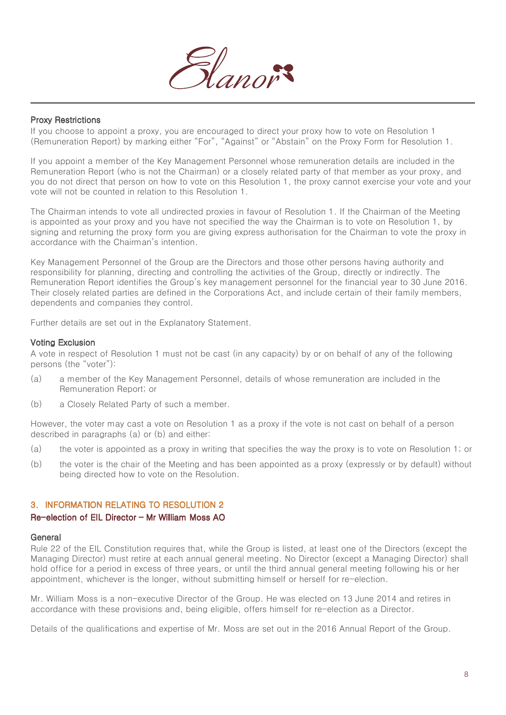

#### Proxy Restrictions

If you choose to appoint a proxy, you are encouraged to direct your proxy how to vote on Resolution 1 (Remuneration Report) by marking either "For", "Against" or "Abstain" on the Proxy Form for Resolution 1.

If you appoint a member of the Key Management Personnel whose remuneration details are included in the Remuneration Report (who is not the Chairman) or a closely related party of that member as your proxy, and you do not direct that person on how to vote on this Resolution 1, the proxy cannot exercise your vote and your vote will not be counted in relation to this Resolution 1.

The Chairman intends to vote all undirected proxies in favour of Resolution 1. If the Chairman of the Meeting is appointed as your proxy and you have not specified the way the Chairman is to vote on Resolution 1, by signing and returning the proxy form you are giving express authorisation for the Chairman to vote the proxy in accordance with the Chairman's intention.

Key Management Personnel of the Group are the Directors and those other persons having authority and responsibility for planning, directing and controlling the activities of the Group, directly or indirectly. The Remuneration Report identifies the Group's key management personnel for the financial year to 30 June 2016. Their closely related parties are defined in the Corporations Act, and include certain of their family members, dependents and companies they control.

Further details are set out in the Explanatory Statement.

#### Voting Exclusion

A vote in respect of Resolution 1 must not be cast (in any capacity) by or on behalf of any of the following persons (the "voter"):

- (a) a member of the Key Management Personnel, details of whose remuneration are included in the Remuneration Report; or
- (b) a Closely Related Party of such a member.

However, the voter may cast a vote on Resolution 1 as a proxy if the vote is not cast on behalf of a person described in paragraphs (a) or (b) and either:

- (a) the voter is appointed as a proxy in writing that specifies the way the proxy is to vote on Resolution 1; or
- (b) the voter is the chair of the Meeting and has been appointed as a proxy (expressly or by default) without being directed how to vote on the Resolution.

#### 3. INFORMATION RELATING TO RESOLUTION 2

#### Re-election of EIL Director – Mr William Moss AO

#### General

Rule 22 of the EIL Constitution requires that, while the Group is listed, at least one of the Directors (except the Managing Director) must retire at each annual general meeting. No Director (except a Managing Director) shall hold office for a period in excess of three years, or until the third annual general meeting following his or her appointment, whichever is the longer, without submitting himself or herself for re-election.

Mr. William Moss is a non-executive Director of the Group. He was elected on 13 June 2014 and retires in accordance with these provisions and, being eligible, offers himself for re-election as a Director.

Details of the qualifications and expertise of Mr. Moss are set out in the 2016 Annual Report of the Group.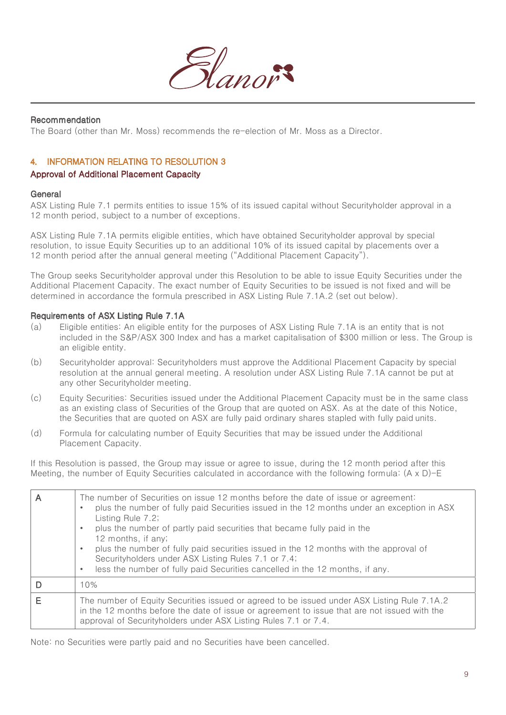

## Recommendation

The Board (other than Mr. Moss) recommends the re-election of Mr. Moss as a Director.

## 4. INFORMATION RELATING TO RESOLUTION 3

#### Approval of Additional Placement Capacity

#### General

ASX Listing Rule 7.1 permits entities to issue 15% of its issued capital without Securityholder approval in a 12 month period, subject to a number of exceptions.

ASX Listing Rule 7.1A permits eligible entities, which have obtained Securityholder approval by special resolution, to issue Equity Securities up to an additional 10% of its issued capital by placements over a 12 month period after the annual general meeting ("Additional Placement Capacity").

The Group seeks Securityholder approval under this Resolution to be able to issue Equity Securities under the Additional Placement Capacity. The exact number of Equity Securities to be issued is not fixed and will be determined in accordance the formula prescribed in ASX Listing Rule 7.1A.2 (set out below).

#### Requirements of ASX Listing Rule 7.1A

- (a) Eligible entities: An eligible entity for the purposes of ASX Listing Rule 7.1A is an entity that is not included in the S&P/ASX 300 Index and has a market capitalisation of \$300 million or less. The Group is an eligible entity.
- (b) Securityholder approval: Securityholders must approve the Additional Placement Capacity by special resolution at the annual general meeting. A resolution under ASX Listing Rule 7.1A cannot be put at any other Securityholder meeting.
- (c) Equity Securities: Securities issued under the Additional Placement Capacity must be in the same class as an existing class of Securities of the Group that are quoted on ASX. As at the date of this Notice, the Securities that are quoted on ASX are fully paid ordinary shares stapled with fully paid units.
- (d) Formula for calculating number of Equity Securities that may be issued under the Additional Placement Capacity.

If this Resolution is passed, the Group may issue or agree to issue, during the 12 month period after this Meeting, the number of Equity Securities calculated in accordance with the following formula: (A x D)-E

| The number of Securities on issue 12 months before the date of issue or agreement:<br>plus the number of fully paid Securities issued in the 12 months under an exception in ASX<br>Listing Rule 7.2;<br>plus the number of partly paid securities that became fully paid in the<br>$\bullet$<br>12 months, if any;<br>plus the number of fully paid securities issued in the 12 months with the approval of<br>Securityholders under ASX Listing Rules 7.1 or 7.4;<br>less the number of fully paid Securities cancelled in the 12 months, if any.<br>$\bullet$ |
|------------------------------------------------------------------------------------------------------------------------------------------------------------------------------------------------------------------------------------------------------------------------------------------------------------------------------------------------------------------------------------------------------------------------------------------------------------------------------------------------------------------------------------------------------------------|
| 10%                                                                                                                                                                                                                                                                                                                                                                                                                                                                                                                                                              |
| The number of Equity Securities issued or agreed to be issued under ASX Listing Rule 7.1A.2<br>in the 12 months before the date of issue or agreement to issue that are not issued with the<br>approval of Securityholders under ASX Listing Rules 7.1 or 7.4.                                                                                                                                                                                                                                                                                                   |

Note: no Securities were partly paid and no Securities have been cancelled.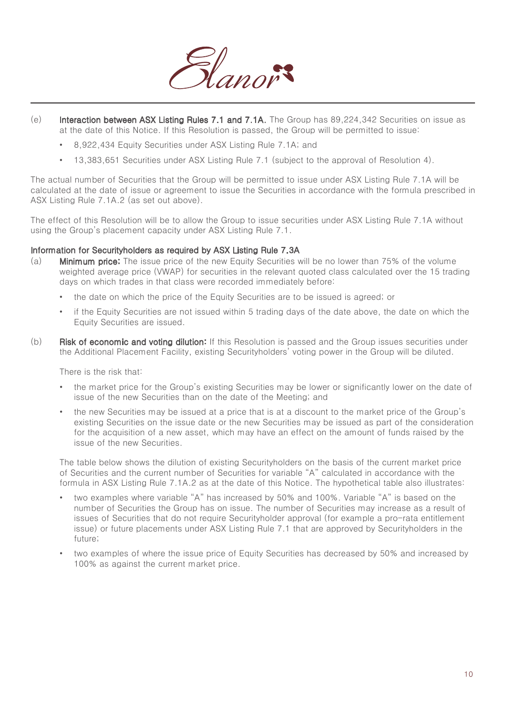

- (e) Interaction between ASX Listing Rules 7.1 and 7.1A. The Group has 89,224,342 Securities on issue as at the date of this Notice. If this Resolution is passed, the Group will be permitted to issue:
	- 8,922,434 Equity Securities under ASX Listing Rule 7.1A; and
	- 13,383,651 Securities under ASX Listing Rule 7.1 (subject to the approval of Resolution 4).

The actual number of Securities that the Group will be permitted to issue under ASX Listing Rule 7.1A will be calculated at the date of issue or agreement to issue the Securities in accordance with the formula prescribed in ASX Listing Rule 7.1A.2 (as set out above).

The effect of this Resolution will be to allow the Group to issue securities under ASX Listing Rule 7.1A without using the Group's placement capacity under ASX Listing Rule 7.1.

#### Information for Securityholders as required by ASX Listing Rule 7.3A

- (a) Minimum price: The issue price of the new Equity Securities will be no lower than 75% of the volume weighted average price (VWAP) for securities in the relevant quoted class calculated over the 15 trading days on which trades in that class were recorded immediately before:
	- the date on which the price of the Equity Securities are to be issued is agreed; or
	- if the Equity Securities are not issued within 5 trading days of the date above, the date on which the Equity Securities are issued.
- (b) Risk of economic and voting dilution: If this Resolution is passed and the Group issues securities under the Additional Placement Facility, existing Securityholders' voting power in the Group will be diluted.

There is the risk that:

- the market price for the Group's existing Securities may be lower or significantly lower on the date of issue of the new Securities than on the date of the Meeting; and
- the new Securities may be issued at a price that is at a discount to the market price of the Group's existing Securities on the issue date or the new Securities may be issued as part of the consideration for the acquisition of a new asset, which may have an effect on the amount of funds raised by the issue of the new Securities.

The table below shows the dilution of existing Securityholders on the basis of the current market price of Securities and the current number of Securities for variable "A" calculated in accordance with the formula in ASX Listing Rule 7.1A.2 as at the date of this Notice. The hypothetical table also illustrates:

- two examples where variable "A" has increased by 50% and 100%. Variable "A" is based on the number of Securities the Group has on issue. The number of Securities may increase as a result of issues of Securities that do not require Securityholder approval (for example a pro-rata entitlement issue) or future placements under ASX Listing Rule 7.1 that are approved by Securityholders in the future;
- two examples of where the issue price of Equity Securities has decreased by 50% and increased by 100% as against the current market price.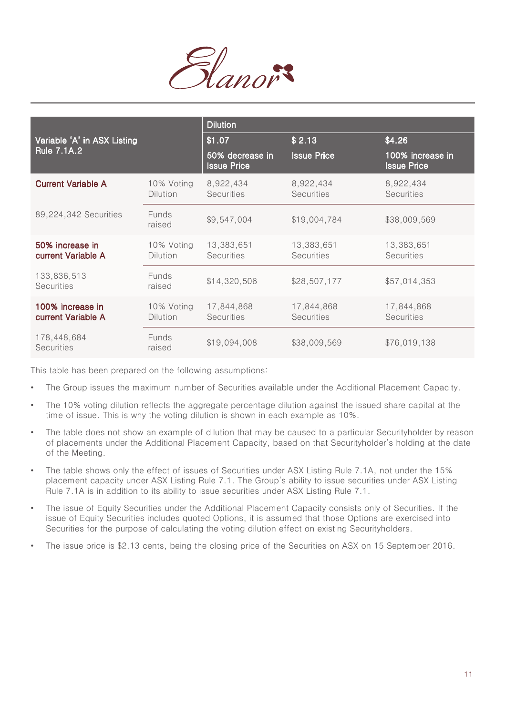

|                                        |                               | <b>Dilution</b>                       |                                 |                                        |
|----------------------------------------|-------------------------------|---------------------------------------|---------------------------------|----------------------------------------|
| Variable 'A' in ASX Listing            |                               | \$1.07                                | \$2.13                          | \$4.26                                 |
| <b>Rule 7.1A.2</b>                     |                               | 50% decrease in<br><b>Issue Price</b> | <b>Issue Price</b>              | 100% increase in<br><b>Issue Price</b> |
| <b>Current Variable A</b>              | 10% Voting<br><b>Dilution</b> | 8,922,434<br><b>Securities</b>        | 8,922,434<br><b>Securities</b>  | 8,922,434<br><b>Securities</b>         |
| 89,224,342 Securities                  | <b>Funds</b><br>raised        | \$9,547,004                           | \$19,004,784                    | \$38,009,569                           |
| 50% increase in<br>current Variable A  | 10% Voting<br><b>Dilution</b> | 13,383,651<br><b>Securities</b>       | 13,383,651<br><b>Securities</b> | 13,383,651<br><b>Securities</b>        |
| 133,836,513<br><b>Securities</b>       | Funds<br>raised               | \$14,320,506                          | \$28,507,177                    | \$57,014,353                           |
| 100% increase in<br>current Variable A | 10% Voting<br><b>Dilution</b> | 17,844,868<br><b>Securities</b>       | 17,844,868<br><b>Securities</b> | 17,844,868<br>Securities               |
| 178,448,684<br><b>Securities</b>       | <b>Funds</b><br>raised        | \$19,094,008                          | \$38,009,569                    | \$76,019,138                           |

This table has been prepared on the following assumptions:

- The Group issues the maximum number of Securities available under the Additional Placement Capacity.
- The 10% voting dilution reflects the aggregate percentage dilution against the issued share capital at the time of issue. This is why the voting dilution is shown in each example as 10%.
- The table does not show an example of dilution that may be caused to a particular Securityholder by reason of placements under the Additional Placement Capacity, based on that Securityholder's holding at the date of the Meeting.
- The table shows only the effect of issues of Securities under ASX Listing Rule 7.1A, not under the 15% placement capacity under ASX Listing Rule 7.1. The Group's ability to issue securities under ASX Listing Rule 7.1A is in addition to its ability to issue securities under ASX Listing Rule 7.1.
- The issue of Equity Securities under the Additional Placement Capacity consists only of Securities. If the issue of Equity Securities includes quoted Options, it is assumed that those Options are exercised into Securities for the purpose of calculating the voting dilution effect on existing Securityholders.
- The issue price is \$2.13 cents, being the closing price of the Securities on ASX on 15 September 2016.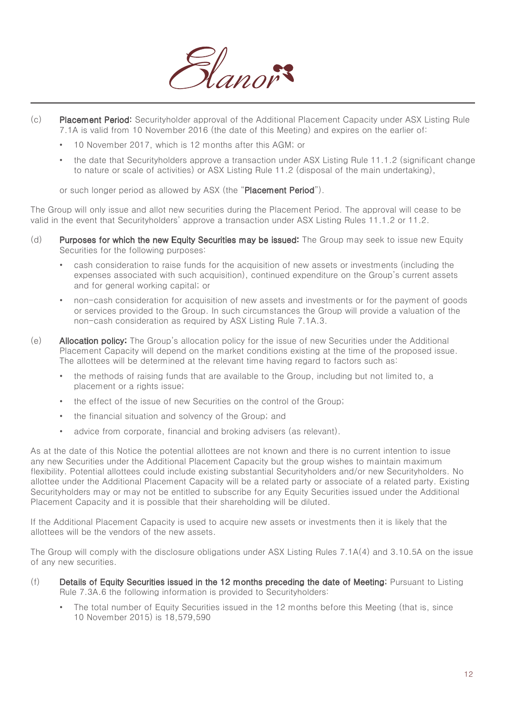

- (c) Placement Period: Securityholder approval of the Additional Placement Capacity under ASX Listing Rule 7.1A is valid from 10 November 2016 (the date of this Meeting) and expires on the earlier of:
	- 10 November 2017, which is 12 months after this AGM; or
	- the date that Securityholders approve a transaction under ASX Listing Rule 11.1.2 (significant change to nature or scale of activities) or ASX Listing Rule 11.2 (disposal of the main undertaking),

or such longer period as allowed by ASX (the "Placement Period").

The Group will only issue and allot new securities during the Placement Period. The approval will cease to be valid in the event that Securityholders' approve a transaction under ASX Listing Rules 11.1.2 or 11.2.

- (d) Purposes for which the new Equity Securities may be issued: The Group may seek to issue new Equity Securities for the following purposes:
	- cash consideration to raise funds for the acquisition of new assets or investments (including the expenses associated with such acquisition), continued expenditure on the Group's current assets and for general working capital; or
	- non-cash consideration for acquisition of new assets and investments or for the payment of goods or services provided to the Group. In such circumstances the Group will provide a valuation of the non-cash consideration as required by ASX Listing Rule 7.1A.3.
- (e) Allocation policy: The Group's allocation policy for the issue of new Securities under the Additional Placement Capacity will depend on the market conditions existing at the time of the proposed issue. The allottees will be determined at the relevant time having regard to factors such as:
	- the methods of raising funds that are available to the Group, including but not limited to, a placement or a rights issue;
	- the effect of the issue of new Securities on the control of the Group;
	- the financial situation and solvency of the Group; and
	- advice from corporate, financial and broking advisers (as relevant).

As at the date of this Notice the potential allottees are not known and there is no current intention to issue any new Securities under the Additional Placement Capacity but the group wishes to maintain maximum flexibility. Potential allottees could include existing substantial Securityholders and/or new Securityholders. No allottee under the Additional Placement Capacity will be a related party or associate of a related party. Existing Securityholders may or may not be entitled to subscribe for any Equity Securities issued under the Additional Placement Capacity and it is possible that their shareholding will be diluted.

If the Additional Placement Capacity is used to acquire new assets or investments then it is likely that the allottees will be the vendors of the new assets.

The Group will comply with the disclosure obligations under ASX Listing Rules 7.1A(4) and 3.10.5A on the issue of any new securities.

- (f) Details of Equity Securities issued in the 12 months preceding the date of Meeting: Pursuant to Listing Rule 7.3A.6 the following information is provided to Securityholders:
	- The total number of Equity Securities issued in the 12 months before this Meeting (that is, since 10 November 2015) is 18,579,590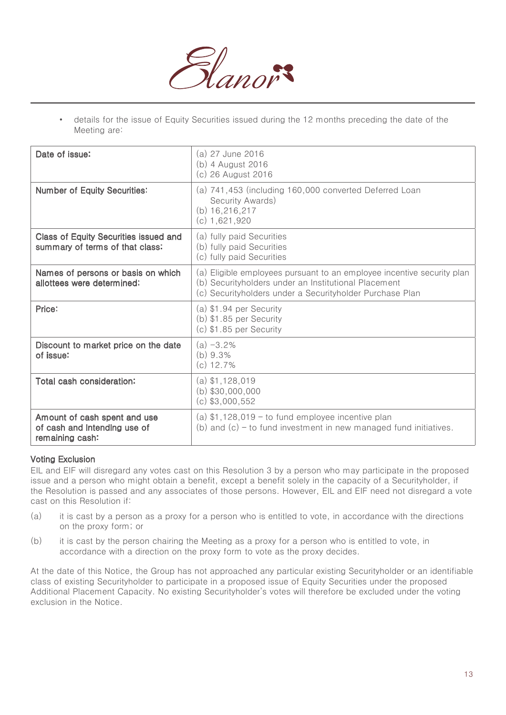

• details for the issue of Equity Securities issued during the 12 months preceding the date of the Meeting are:

| Date of issue:                                                                  | (a) 27 June 2016<br>(b) 4 August 2016<br>(c) 26 August 2016                                                                                                                                |
|---------------------------------------------------------------------------------|--------------------------------------------------------------------------------------------------------------------------------------------------------------------------------------------|
| <b>Number of Equity Securities:</b>                                             | (a) 741,453 (including 160,000 converted Deferred Loan<br>Security Awards)<br>(b) $16,216,217$<br>$(c)$ 1,621,920                                                                          |
| <b>Class of Equity Securities issued and</b><br>summary of terms of that class: | (a) fully paid Securities<br>(b) fully paid Securities<br>(c) fully paid Securities                                                                                                        |
| Names of persons or basis on which<br>allottees were determined:                | (a) Eligible employees pursuant to an employee incentive security plan<br>(b) Securityholders under an Institutional Placement<br>(c) Securityholders under a Securityholder Purchase Plan |
| Price:                                                                          | $(a)$ \$1.94 per Security<br>$(b)$ \$1.85 per Security<br>$(c)$ \$1.85 per Security                                                                                                        |
| Discount to market price on the date<br>of issue:                               | $(a) -3.2%$<br>(b) 9.3%<br>$(c)$ 12.7%                                                                                                                                                     |
| Total cash consideration:                                                       | $(a)$ \$1,128,019<br>$(b)$ \$30,000,000<br>$(c)$ \$3,000,552                                                                                                                               |
| Amount of cash spent and use<br>of cash and intending use of<br>remaining cash: | (a) $$1,128,019$ – to fund employee incentive plan<br>(b) and $(c)$ – to fund investment in new managed fund initiatives.                                                                  |

#### Voting Exclusion

EIL and EIF will disregard any votes cast on this Resolution 3 by a person who may participate in the proposed issue and a person who might obtain a benefit, except a benefit solely in the capacity of a Securityholder, if the Resolution is passed and any associates of those persons. However, EIL and EIF need not disregard a vote cast on this Resolution if:

- (a) it is cast by a person as a proxy for a person who is entitled to vote, in accordance with the directions on the proxy form; or
- (b) it is cast by the person chairing the Meeting as a proxy for a person who is entitled to vote, in accordance with a direction on the proxy form to vote as the proxy decides.

At the date of this Notice, the Group has not approached any particular existing Securityholder or an identifiable class of existing Securityholder to participate in a proposed issue of Equity Securities under the proposed Additional Placement Capacity. No existing Securityholder's votes will therefore be excluded under the voting exclusion in the Notice.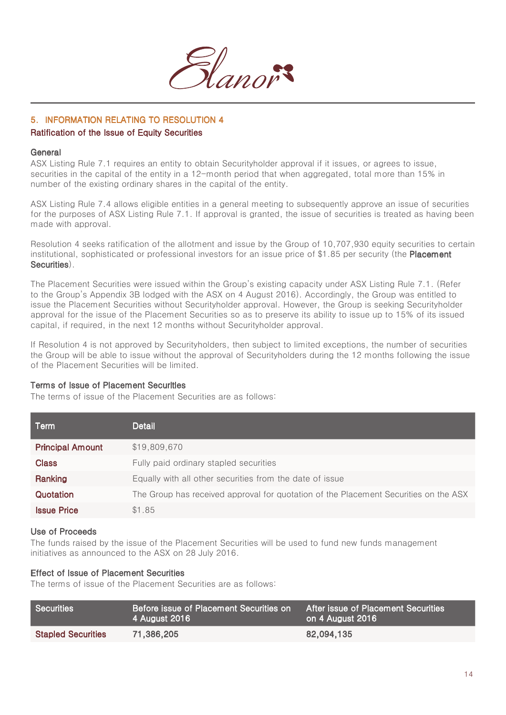

## 5. INFORMATION RELATING TO RESOLUTION 4

## Ratification of the Issue of Equity Securities

#### **General**

ASX Listing Rule 7.1 requires an entity to obtain Securityholder approval if it issues, or agrees to issue, securities in the capital of the entity in a 12-month period that when aggregated, total more than 15% in number of the existing ordinary shares in the capital of the entity.

ASX Listing Rule 7.4 allows eligible entities in a general meeting to subsequently approve an issue of securities for the purposes of ASX Listing Rule 7.1. If approval is granted, the issue of securities is treated as having been made with approval.

Resolution 4 seeks ratification of the allotment and issue by the Group of 10,707,930 equity securities to certain institutional, sophisticated or professional investors for an issue price of \$1.85 per security (the Placement Securities).

The Placement Securities were issued within the Group's existing capacity under ASX Listing Rule 7.1. (Refer to the Group's Appendix 3B lodged with the ASX on 4 August 2016). Accordingly, the Group was entitled to issue the Placement Securities without Securityholder approval. However, the Group is seeking Securityholder approval for the issue of the Placement Securities so as to preserve its ability to issue up to 15% of its issued capital, if required, in the next 12 months without Securityholder approval.

If Resolution 4 is not approved by Securityholders, then subject to limited exceptions, the number of securities the Group will be able to issue without the approval of Securityholders during the 12 months following the issue of the Placement Securities will be limited.

### Terms of Issue of Placement Securities

The terms of issue of the Placement Securities are as follows:

| Term                    | Detail                                                                               |
|-------------------------|--------------------------------------------------------------------------------------|
| <b>Principal Amount</b> | \$19,809,670                                                                         |
| <b>Class</b>            | Fully paid ordinary stapled securities                                               |
| Ranking                 | Equally with all other securities from the date of issue                             |
| Quotation               | The Group has received approval for quotation of the Placement Securities on the ASX |
| <b>Issue Price</b>      | \$1.85                                                                               |

#### Use of Proceeds

The funds raised by the issue of the Placement Securities will be used to fund new funds management initiatives as announced to the ASX on 28 July 2016.

## Effect of Issue of Placement Securities

The terms of issue of the Placement Securities are as follows:

| Securities                | Before issue of Placement Securities on I<br>4 August 2016 | After issue of Placement Securities<br>on 4 August 2016 |
|---------------------------|------------------------------------------------------------|---------------------------------------------------------|
| <b>Stapled Securities</b> | 71,386,205                                                 | 82,094,135                                              |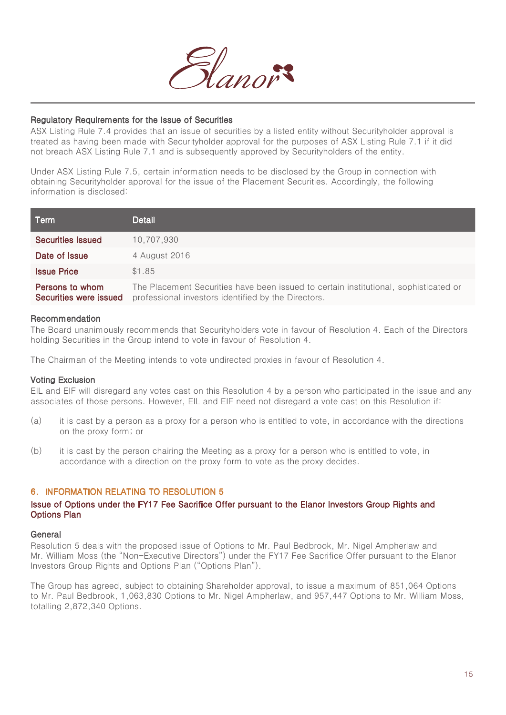

#### Regulatory Requirements for the Issue of Securities

ASX Listing Rule 7.4 provides that an issue of securities by a listed entity without Securityholder approval is treated as having been made with Securityholder approval for the purposes of ASX Listing Rule 7.1 if it did not breach ASX Listing Rule 7.1 and is subsequently approved by Securityholders of the entity.

Under ASX Listing Rule 7.5, certain information needs to be disclosed by the Group in connection with obtaining Securityholder approval for the issue of the Placement Securities. Accordingly, the following information is disclosed:

| Term                                      | Detail                                                                                                                                      |
|-------------------------------------------|---------------------------------------------------------------------------------------------------------------------------------------------|
| <b>Securities Issued</b>                  | 10.707.930                                                                                                                                  |
| Date of Issue                             | 4 August 2016                                                                                                                               |
| <b>Issue Price</b>                        | \$1.85                                                                                                                                      |
| Persons to whom<br>Securities were issued | The Placement Securities have been issued to certain institutional, sophisticated or<br>professional investors identified by the Directors. |

#### Recommendation

The Board unanimously recommends that Securityholders vote in favour of Resolution 4. Each of the Directors holding Securities in the Group intend to vote in favour of Resolution 4.

The Chairman of the Meeting intends to vote undirected proxies in favour of Resolution 4.

#### Voting Exclusion

EIL and EIF will disregard any votes cast on this Resolution 4 by a person who participated in the issue and any associates of those persons. However, EIL and EIF need not disregard a vote cast on this Resolution if:

- (a) it is cast by a person as a proxy for a person who is entitled to vote, in accordance with the directions on the proxy form; or
- (b) it is cast by the person chairing the Meeting as a proxy for a person who is entitled to vote, in accordance with a direction on the proxy form to vote as the proxy decides.

#### 6. INFORMATION RELATING TO RESOLUTION 5

#### Issue of Options under the FY17 Fee Sacrifice Offer pursuant to the Elanor Investors Group Rights and Options Plan

#### **General**

Resolution 5 deals with the proposed issue of Options to Mr. Paul Bedbrook, Mr. Nigel Ampherlaw and Mr. William Moss (the "Non-Executive Directors") under the FY17 Fee Sacrifice Offer pursuant to the Elanor Investors Group Rights and Options Plan ("Options Plan").

The Group has agreed, subject to obtaining Shareholder approval, to issue a maximum of 851,064 Options to Mr. Paul Bedbrook, 1,063,830 Options to Mr. Nigel Ampherlaw, and 957,447 Options to Mr. William Moss, totalling 2,872,340 Options.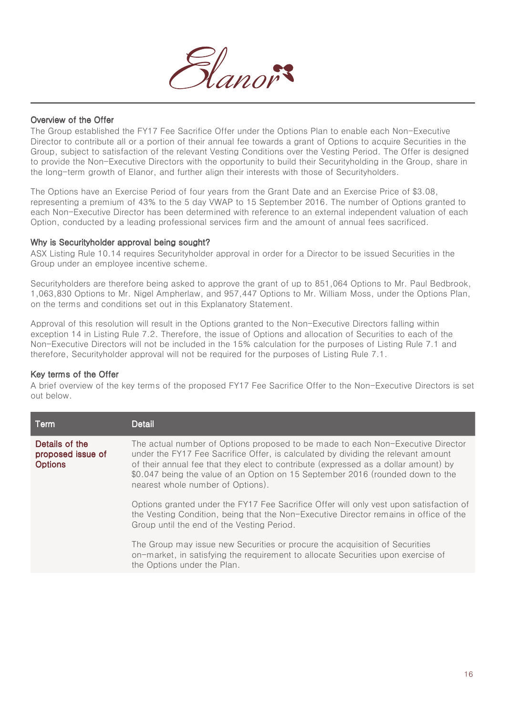

#### Overview of the Offer

The Group established the FY17 Fee Sacrifice Offer under the Options Plan to enable each Non-Executive Director to contribute all or a portion of their annual fee towards a grant of Options to acquire Securities in the Group, subject to satisfaction of the relevant Vesting Conditions over the Vesting Period. The Offer is designed to provide the Non-Executive Directors with the opportunity to build their Securityholding in the Group, share in the long-term growth of Elanor, and further align their interests with those of Securityholders.

The Options have an Exercise Period of four years from the Grant Date and an Exercise Price of \$3.08, representing a premium of 43% to the 5 day VWAP to 15 September 2016. The number of Options granted to each Non-Executive Director has been determined with reference to an external independent valuation of each Option, conducted by a leading professional services firm and the amount of annual fees sacrificed.

#### Why is Securityholder approval being sought?

ASX Listing Rule 10.14 requires Securityholder approval in order for a Director to be issued Securities in the Group under an employee incentive scheme.

Securityholders are therefore being asked to approve the grant of up to 851,064 Options to Mr. Paul Bedbrook, 1,063,830 Options to Mr. Nigel Ampherlaw, and 957,447 Options to Mr. William Moss, under the Options Plan, on the terms and conditions set out in this Explanatory Statement.

Approval of this resolution will result in the Options granted to the Non-Executive Directors falling within exception 14 in Listing Rule 7.2. Therefore, the issue of Options and allocation of Securities to each of the Non-Executive Directors will not be included in the 15% calculation for the purposes of Listing Rule 7.1 and therefore, Securityholder approval will not be required for the purposes of Listing Rule 7.1.

#### Key terms of the Offer

A brief overview of the key terms of the proposed FY17 Fee Sacrifice Offer to the Non-Executive Directors is set out below.

| <b>Term</b>                                           | <b>Detail</b>                                                                                                                                                                                                                                                                                                                                                                      |
|-------------------------------------------------------|------------------------------------------------------------------------------------------------------------------------------------------------------------------------------------------------------------------------------------------------------------------------------------------------------------------------------------------------------------------------------------|
| Details of the<br>proposed issue of<br><b>Options</b> | The actual number of Options proposed to be made to each Non-Executive Director<br>under the FY17 Fee Sacrifice Offer, is calculated by dividing the relevant amount<br>of their annual fee that they elect to contribute (expressed as a dollar amount) by<br>\$0.047 being the value of an Option on 15 September 2016 (rounded down to the<br>nearest whole number of Options). |
|                                                       | Options granted under the FY17 Fee Sacrifice Offer will only vest upon satisfaction of<br>the Vesting Condition, being that the Non-Executive Director remains in office of the<br>Group until the end of the Vesting Period.                                                                                                                                                      |
|                                                       | The Group may issue new Securities or procure the acquisition of Securities<br>on-market, in satisfying the requirement to allocate Securities upon exercise of<br>the Options under the Plan.                                                                                                                                                                                     |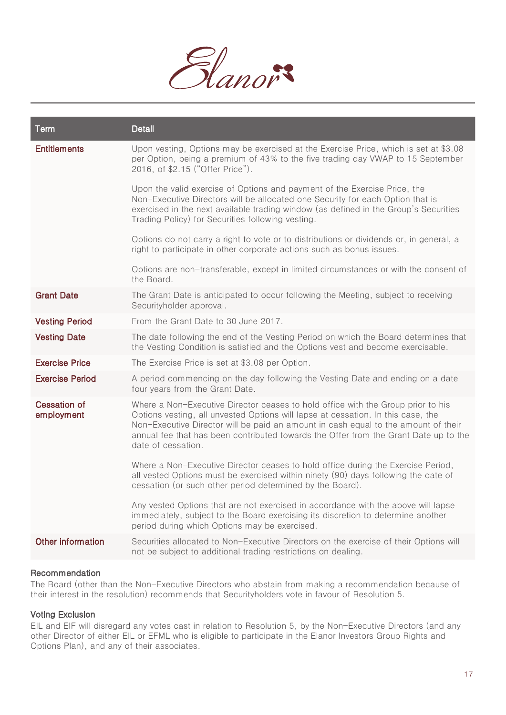

| <b>Term</b>                       | <b>Detail</b>                                                                                                                                                                                                                                                                                                                                                            |
|-----------------------------------|--------------------------------------------------------------------------------------------------------------------------------------------------------------------------------------------------------------------------------------------------------------------------------------------------------------------------------------------------------------------------|
| <b>Entitlements</b>               | Upon vesting, Options may be exercised at the Exercise Price, which is set at \$3.08<br>per Option, being a premium of 43% to the five trading day VWAP to 15 September<br>2016, of \$2.15 ("Offer Price").                                                                                                                                                              |
|                                   | Upon the valid exercise of Options and payment of the Exercise Price, the<br>Non-Executive Directors will be allocated one Security for each Option that is<br>exercised in the next available trading window (as defined in the Group's Securities<br>Trading Policy) for Securities following vesting.                                                                 |
|                                   | Options do not carry a right to vote or to distributions or dividends or, in general, a<br>right to participate in other corporate actions such as bonus issues.                                                                                                                                                                                                         |
|                                   | Options are non-transferable, except in limited circumstances or with the consent of<br>the Board.                                                                                                                                                                                                                                                                       |
| <b>Grant Date</b>                 | The Grant Date is anticipated to occur following the Meeting, subject to receiving<br>Securityholder approval.                                                                                                                                                                                                                                                           |
| <b>Vesting Period</b>             | From the Grant Date to 30 June 2017.                                                                                                                                                                                                                                                                                                                                     |
| <b>Vesting Date</b>               | The date following the end of the Vesting Period on which the Board determines that<br>the Vesting Condition is satisfied and the Options vest and become exercisable.                                                                                                                                                                                                   |
| <b>Exercise Price</b>             | The Exercise Price is set at \$3.08 per Option.                                                                                                                                                                                                                                                                                                                          |
| <b>Exercise Period</b>            | A period commencing on the day following the Vesting Date and ending on a date<br>four years from the Grant Date.                                                                                                                                                                                                                                                        |
| <b>Cessation of</b><br>employment | Where a Non-Executive Director ceases to hold office with the Group prior to his<br>Options vesting, all unvested Options will lapse at cessation. In this case, the<br>Non-Executive Director will be paid an amount in cash equal to the amount of their<br>annual fee that has been contributed towards the Offer from the Grant Date up to the<br>date of cessation. |
|                                   | Where a Non-Executive Director ceases to hold office during the Exercise Period,<br>all vested Options must be exercised within ninety (90) days following the date of<br>cessation (or such other period determined by the Board).                                                                                                                                      |
|                                   | Any vested Options that are not exercised in accordance with the above will lapse<br>immediately, subject to the Board exercising its discretion to determine another<br>period during which Options may be exercised.                                                                                                                                                   |
| Other information                 | Securities allocated to Non-Executive Directors on the exercise of their Options will<br>not be subject to additional trading restrictions on dealing.                                                                                                                                                                                                                   |

## Recommendation

The Board (other than the Non-Executive Directors who abstain from making a recommendation because of their interest in the resolution) recommends that Securityholders vote in favour of Resolution 5.

### Voting Exclusion

EIL and EIF will disregard any votes cast in relation to Resolution 5, by the Non-Executive Directors (and any other Director of either EIL or EFML who is eligible to participate in the Elanor Investors Group Rights and Options Plan), and any of their associates.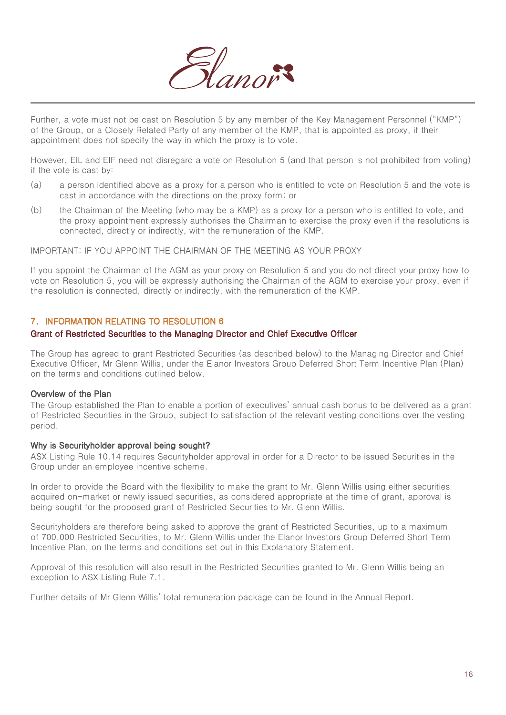

Further, a vote must not be cast on Resolution 5 by any member of the Key Management Personnel ("KMP") of the Group, or a Closely Related Party of any member of the KMP, that is appointed as proxy, if their appointment does not specify the way in which the proxy is to vote.

However, EIL and EIF need not disregard a vote on Resolution 5 (and that person is not prohibited from voting) if the vote is cast by:

- (a) a person identified above as a proxy for a person who is entitled to vote on Resolution 5 and the vote is cast in accordance with the directions on the proxy form; or
- (b) the Chairman of the Meeting (who may be a KMP) as a proxy for a person who is entitled to vote, and the proxy appointment expressly authorises the Chairman to exercise the proxy even if the resolutions is connected, directly or indirectly, with the remuneration of the KMP.

IMPORTANT: IF YOU APPOINT THE CHAIRMAN OF THE MEETING AS YOUR PROXY

If you appoint the Chairman of the AGM as your proxy on Resolution 5 and you do not direct your proxy how to vote on Resolution 5, you will be expressly authorising the Chairman of the AGM to exercise your proxy, even if the resolution is connected, directly or indirectly, with the remuneration of the KMP.

## 7. INFORMATION RELATING TO RESOLUTION 6

#### Grant of Restricted Securities to the Managing Director and Chief Executive Officer

The Group has agreed to grant Restricted Securities (as described below) to the Managing Director and Chief Executive Officer, Mr Glenn Willis, under the Elanor Investors Group Deferred Short Term Incentive Plan (Plan) on the terms and conditions outlined below.

#### Overview of the Plan

The Group established the Plan to enable a portion of executives' annual cash bonus to be delivered as a grant of Restricted Securities in the Group, subject to satisfaction of the relevant vesting conditions over the vesting period.

#### Why is Securityholder approval being sought?

ASX Listing Rule 10.14 requires Securityholder approval in order for a Director to be issued Securities in the Group under an employee incentive scheme.

In order to provide the Board with the flexibility to make the grant to Mr. Glenn Willis using either securities acquired on-market or newly issued securities, as considered appropriate at the time of grant, approval is being sought for the proposed grant of Restricted Securities to Mr. Glenn Willis.

Securityholders are therefore being asked to approve the grant of Restricted Securities, up to a maximum of 700,000 Restricted Securities, to Mr. Glenn Willis under the Elanor Investors Group Deferred Short Term Incentive Plan, on the terms and conditions set out in this Explanatory Statement.

Approval of this resolution will also result in the Restricted Securities granted to Mr. Glenn Willis being an exception to ASX Listing Rule 7.1.

Further details of Mr Glenn Willis' total remuneration package can be found in the Annual Report.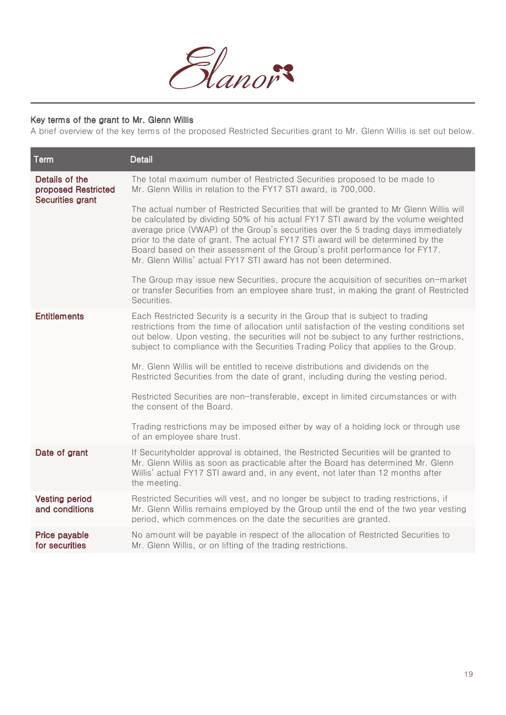

## Key terms of the grant to Mr. Glenn Willis

A brief overview of the key terms of the proposed Restricted Securities grant to Mr. Glenn Willis is set out below.

| Term                                                             | <b>Detail</b>                                                                                                                                                                                                                                                                                                                                                                                                                                                                                            |
|------------------------------------------------------------------|----------------------------------------------------------------------------------------------------------------------------------------------------------------------------------------------------------------------------------------------------------------------------------------------------------------------------------------------------------------------------------------------------------------------------------------------------------------------------------------------------------|
| Details of the<br>proposed Restricted<br><b>Securities grant</b> | The total maximum number of Restricted Securities proposed to be made to<br>Mr. Glenn Willis in relation to the FY17 STI award, is 700,000.                                                                                                                                                                                                                                                                                                                                                              |
|                                                                  | The actual number of Restricted Securities that will be granted to Mr Glenn Willis will<br>be calculated by dividing 50% of his actual FY17 STI award by the volume weighted<br>average price (VWAP) of the Group's securities over the 5 trading days immediately<br>prior to the date of grant. The actual FY17 STI award will be determined by the<br>Board based on their assessment of the Group's profit performance for FY17.<br>Mr. Glenn Willis' actual FY17 STI award has not been determined. |
|                                                                  | The Group may issue new Securities, procure the acquisition of securities on-market<br>or transfer Securities from an employee share trust, in making the grant of Restricted<br>Securities.                                                                                                                                                                                                                                                                                                             |
| <b>Entitlements</b>                                              | Each Restricted Security is a security in the Group that is subject to trading<br>restrictions from the time of allocation until satisfaction of the vesting conditions set<br>out below. Upon vesting, the securities will not be subject to any further restrictions,<br>subject to compliance with the Securities Trading Policy that applies to the Group.                                                                                                                                           |
|                                                                  | Mr. Glenn Willis will be entitled to receive distributions and dividends on the<br>Restricted Securities from the date of grant, including during the vesting period.                                                                                                                                                                                                                                                                                                                                    |
|                                                                  | Restricted Securities are non-transferable, except in limited circumstances or with<br>the consent of the Board.                                                                                                                                                                                                                                                                                                                                                                                         |
|                                                                  | Trading restrictions may be imposed either by way of a holding lock or through use<br>of an employee share trust.                                                                                                                                                                                                                                                                                                                                                                                        |
| Date of grant                                                    | If Securityholder approval is obtained, the Restricted Securities will be granted to<br>Mr. Glenn Willis as soon as practicable after the Board has determined Mr. Glenn<br>Willis' actual FY17 STI award and, in any event, not later than 12 months after<br>the meeting.                                                                                                                                                                                                                              |
| <b>Vesting period</b><br>and conditions                          | Restricted Securities will vest, and no longer be subject to trading restrictions, if<br>Mr. Glenn Willis remains employed by the Group until the end of the two year vesting<br>period, which commences on the date the securities are granted.                                                                                                                                                                                                                                                         |
| Price payable<br>for securities                                  | No amount will be payable in respect of the allocation of Restricted Securities to<br>Mr. Glenn Willis, or on lifting of the trading restrictions.                                                                                                                                                                                                                                                                                                                                                       |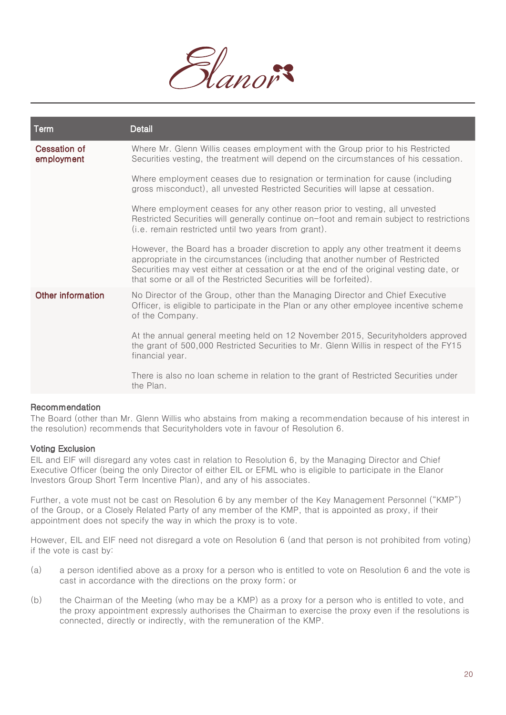

| Term                       | <b>Detail</b>                                                                                                                                                                                                                                                                                                                     |
|----------------------------|-----------------------------------------------------------------------------------------------------------------------------------------------------------------------------------------------------------------------------------------------------------------------------------------------------------------------------------|
| Cessation of<br>employment | Where Mr. Glenn Willis ceases employment with the Group prior to his Restricted<br>Securities vesting, the treatment will depend on the circumstances of his cessation.                                                                                                                                                           |
|                            | Where employment ceases due to resignation or termination for cause (including<br>gross misconduct), all unvested Restricted Securities will lapse at cessation.                                                                                                                                                                  |
|                            | Where employment ceases for any other reason prior to vesting, all unvested<br>Restricted Securities will generally continue on-foot and remain subject to restrictions<br>(i.e. remain restricted until two years from grant).                                                                                                   |
|                            | However, the Board has a broader discretion to apply any other treatment it deems<br>appropriate in the circumstances (including that another number of Restricted<br>Securities may vest either at cessation or at the end of the original vesting date, or<br>that some or all of the Restricted Securities will be forfeited). |
| Other information          | No Director of the Group, other than the Managing Director and Chief Executive<br>Officer, is eligible to participate in the Plan or any other employee incentive scheme<br>of the Company.                                                                                                                                       |
|                            | At the annual general meeting held on 12 November 2015, Securityholders approved<br>the grant of 500,000 Restricted Securities to Mr. Glenn Willis in respect of the FY15<br>financial year.                                                                                                                                      |
|                            | There is also no loan scheme in relation to the grant of Restricted Securities under<br>the Plan.                                                                                                                                                                                                                                 |

#### Recommendation

The Board (other than Mr. Glenn Willis who abstains from making a recommendation because of his interest in the resolution) recommends that Securityholders vote in favour of Resolution 6.

#### Voting Exclusion

EIL and EIF will disregard any votes cast in relation to Resolution 6, by the Managing Director and Chief Executive Officer (being the only Director of either EIL or EFML who is eligible to participate in the Elanor Investors Group Short Term Incentive Plan), and any of his associates.

Further, a vote must not be cast on Resolution 6 by any member of the Key Management Personnel ("KMP") of the Group, or a Closely Related Party of any member of the KMP, that is appointed as proxy, if their appointment does not specify the way in which the proxy is to vote.

However, EIL and EIF need not disregard a vote on Resolution 6 (and that person is not prohibited from voting) if the vote is cast by:

- (a) a person identified above as a proxy for a person who is entitled to vote on Resolution 6 and the vote is cast in accordance with the directions on the proxy form; or
- (b) the Chairman of the Meeting (who may be a KMP) as a proxy for a person who is entitled to vote, and the proxy appointment expressly authorises the Chairman to exercise the proxy even if the resolutions is connected, directly or indirectly, with the remuneration of the KMP.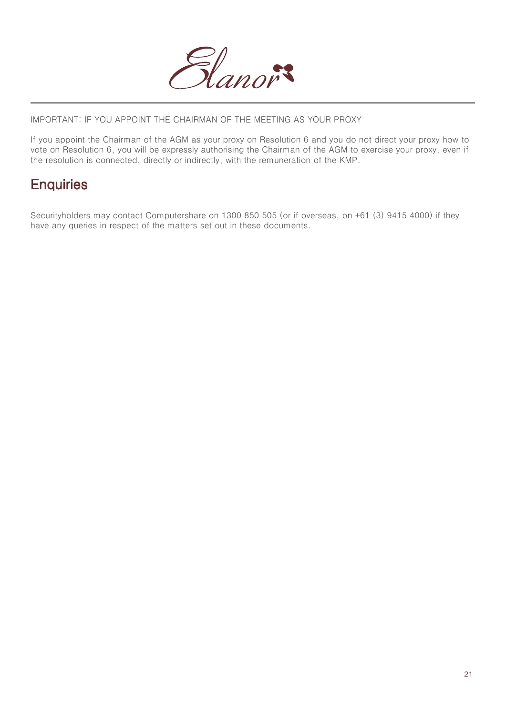

IMPORTANT: IF YOU APPOINT THE CHAIRMAN OF THE MEETING AS YOUR PROXY

If you appoint the Chairman of the AGM as your proxy on Resolution 6 and you do not direct your proxy how to vote on Resolution 6, you will be expressly authorising the Chairman of the AGM to exercise your proxy, even if the resolution is connected, directly or indirectly, with the remuneration of the KMP.

## **Enquiries**

Securityholders may contact Computershare on 1300 850 505 (or if overseas, on +61 (3) 9415 4000) if they have any queries in respect of the matters set out in these documents.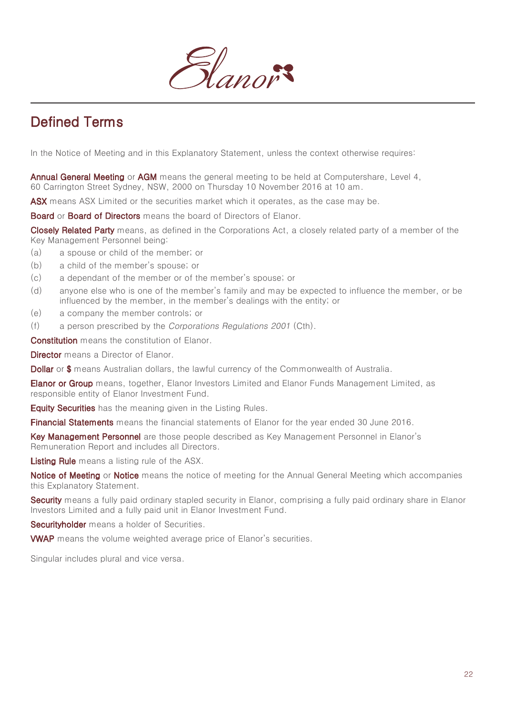

# Defined Terms

In the Notice of Meeting and in this Explanatory Statement, unless the context otherwise requires:

Annual General Meeting or AGM means the general meeting to be held at Computershare, Level 4, 60 Carrington Street Sydney, NSW, 2000 on Thursday 10 November 2016 at 10 am.

ASX means ASX Limited or the securities market which it operates, as the case may be.

Board or Board of Directors means the board of Directors of Elanor.

Closely Related Party means, as defined in the Corporations Act, a closely related party of a member of the Key Management Personnel being:

- (a) a spouse or child of the member; or
- (b) a child of the member's spouse; or
- (c) a dependant of the member or of the member's spouse; or
- (d) anyone else who is one of the member's family and may be expected to influence the member, or be influenced by the member, in the member's dealings with the entity; or
- (e) a company the member controls; or
- (f) a person prescribed by the Corporations Regulations 2001 (Cth).

Constitution means the constitution of Elanor.

**Director** means a Director of Elanor.

**Dollar** or \$ means Australian dollars, the lawful currency of the Commonwealth of Australia.

**Elanor or Group** means, together, Elanor Investors Limited and Elanor Funds Management Limited, as responsible entity of Elanor Investment Fund.

**Equity Securities** has the meaning given in the Listing Rules.

Financial Statements means the financial statements of Elanor for the year ended 30 June 2016.

Key Management Personnel are those people described as Key Management Personnel in Elanor's Remuneration Report and includes all Directors.

Listing Rule means a listing rule of the ASX.

Notice of Meeting or Notice means the notice of meeting for the Annual General Meeting which accompanies this Explanatory Statement.

Security means a fully paid ordinary stapled security in Elanor, comprising a fully paid ordinary share in Elanor Investors Limited and a fully paid unit in Elanor Investment Fund.

Securityholder means a holder of Securities.

VWAP means the volume weighted average price of Elanor's securities.

Singular includes plural and vice versa.